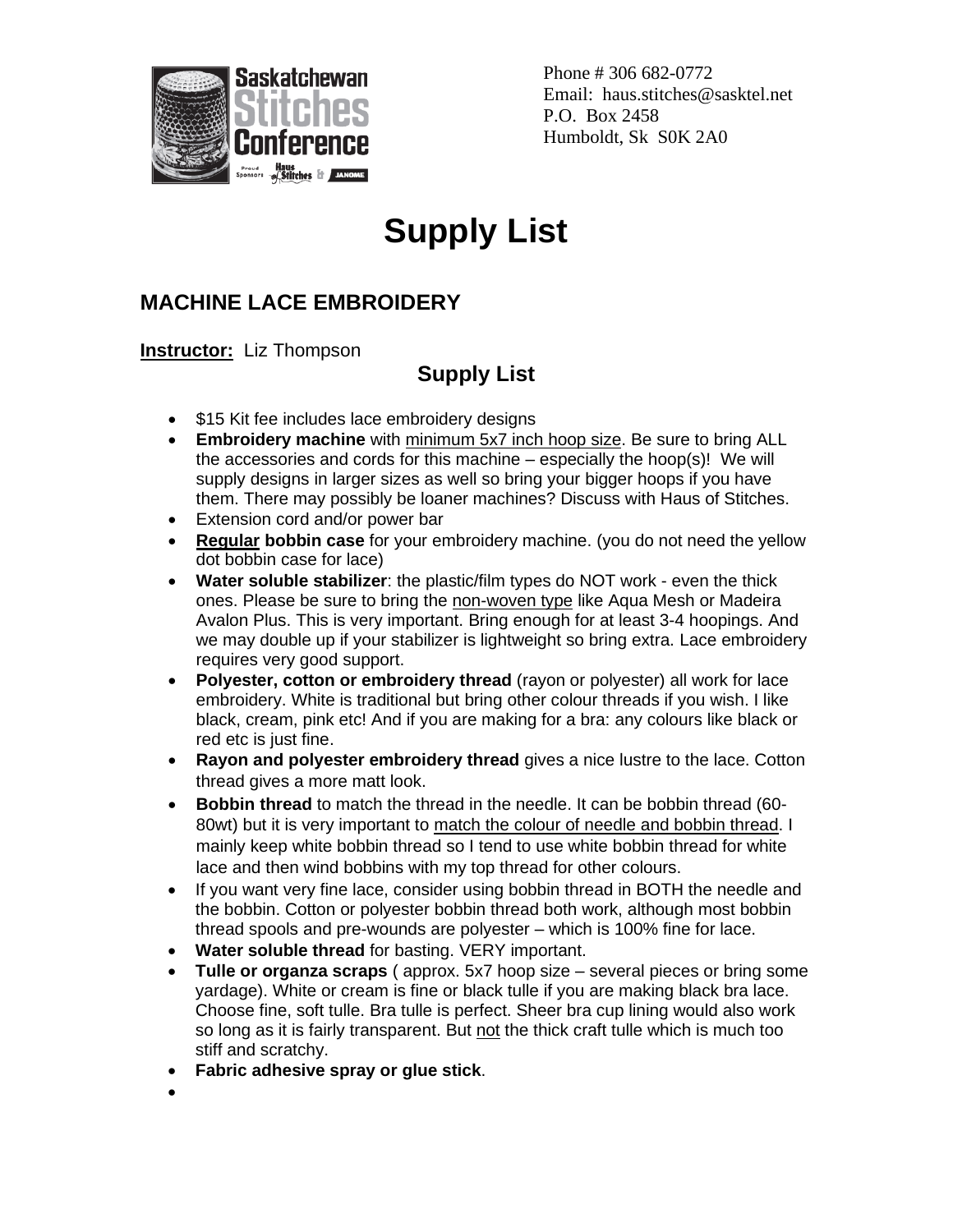

Phone # 306 682-0772 Email: haus.stitches@sasktel.net P.O. Box 2458 Humboldt, Sk S0K 2A0

## **Supply List**

## **MACHINE LACE EMBROIDERY**

**Instructor:** Liz Thompson

## **Supply List**

- \$15 Kit fee includes lace embroidery designs
- **Embroidery machine** with minimum 5x7 inch hoop size. Be sure to bring ALL the accessories and cords for this machine – especially the hoop(s)! We will supply designs in larger sizes as well so bring your bigger hoops if you have them. There may possibly be loaner machines? Discuss with Haus of Stitches.
- Extension cord and/or power bar
- **Regular bobbin case** for your embroidery machine. (you do not need the yellow dot bobbin case for lace)
- **Water soluble stabilizer**: the plastic/film types do NOT work even the thick ones. Please be sure to bring the non-woven type like Aqua Mesh or Madeira Avalon Plus. This is very important. Bring enough for at least 3-4 hoopings. And we may double up if your stabilizer is lightweight so bring extra. Lace embroidery requires very good support.
- **Polyester, cotton or embroidery thread** (rayon or polyester) all work for lace embroidery. White is traditional but bring other colour threads if you wish. I like black, cream, pink etc! And if you are making for a bra: any colours like black or red etc is just fine.
- **Rayon and polyester embroidery thread** gives a nice lustre to the lace. Cotton thread gives a more matt look.
- **Bobbin thread** to match the thread in the needle. It can be bobbin thread (60- 80wt) but it is very important to match the colour of needle and bobbin thread. I mainly keep white bobbin thread so I tend to use white bobbin thread for white lace and then wind bobbins with my top thread for other colours.
- If you want very fine lace, consider using bobbin thread in BOTH the needle and the bobbin. Cotton or polyester bobbin thread both work, although most bobbin thread spools and pre-wounds are polyester – which is 100% fine for lace.
- **Water soluble thread** for basting. VERY important.
- **Tulle or organza scraps** ( approx. 5x7 hoop size several pieces or bring some yardage). White or cream is fine or black tulle if you are making black bra lace. Choose fine, soft tulle. Bra tulle is perfect. Sheer bra cup lining would also work so long as it is fairly transparent. But not the thick craft tulle which is much too stiff and scratchy.
- **Fabric adhesive spray or glue stick**.
- •